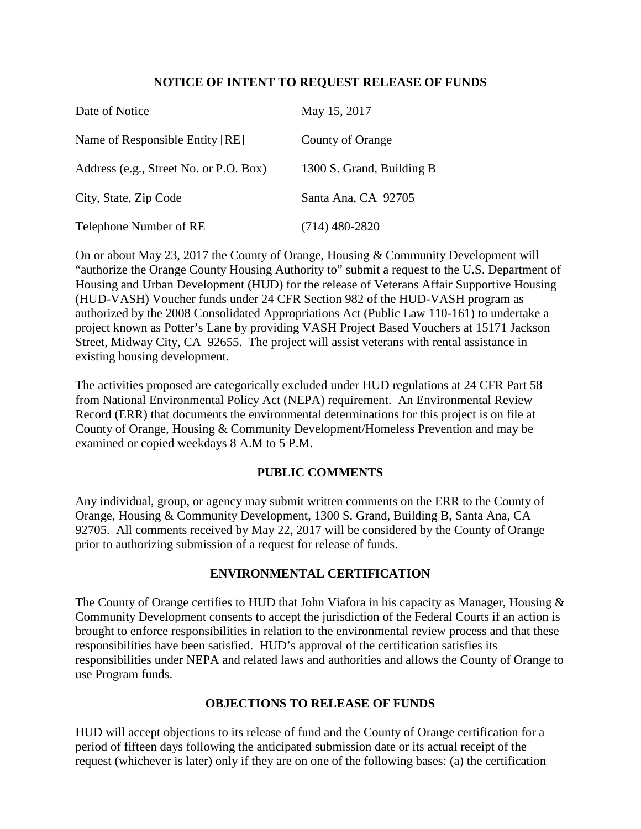## **NOTICE OF INTENT TO REQUEST RELEASE OF FUNDS**

| Date of Notice                         | May 15, 2017              |
|----------------------------------------|---------------------------|
| Name of Responsible Entity [RE]        | County of Orange          |
| Address (e.g., Street No. or P.O. Box) | 1300 S. Grand, Building B |
| City, State, Zip Code                  | Santa Ana, CA 92705       |
| Telephone Number of RE                 | $(714)$ 480-2820          |

On or about May 23, 2017 the County of Orange, Housing & Community Development will "authorize the Orange County Housing Authority to" submit a request to the U.S. Department of Housing and Urban Development (HUD) for the release of Veterans Affair Supportive Housing (HUD-VASH) Voucher funds under 24 CFR Section 982 of the HUD-VASH program as authorized by the 2008 Consolidated Appropriations Act (Public Law 110-161) to undertake a project known as Potter's Lane by providing VASH Project Based Vouchers at 15171 Jackson Street, Midway City, CA 92655. The project will assist veterans with rental assistance in existing housing development.

The activities proposed are categorically excluded under HUD regulations at 24 CFR Part 58 from National Environmental Policy Act (NEPA) requirement. An Environmental Review Record (ERR) that documents the environmental determinations for this project is on file at County of Orange, Housing & Community Development/Homeless Prevention and may be examined or copied weekdays 8 A.M to 5 P.M.

## **PUBLIC COMMENTS**

Any individual, group, or agency may submit written comments on the ERR to the County of Orange, Housing & Community Development, 1300 S. Grand, Building B, Santa Ana, CA 92705. All comments received by May 22, 2017 will be considered by the County of Orange prior to authorizing submission of a request for release of funds.

## **ENVIRONMENTAL CERTIFICATION**

The County of Orange certifies to HUD that John Viafora in his capacity as Manager, Housing & Community Development consents to accept the jurisdiction of the Federal Courts if an action is brought to enforce responsibilities in relation to the environmental review process and that these responsibilities have been satisfied. HUD's approval of the certification satisfies its responsibilities under NEPA and related laws and authorities and allows the County of Orange to use Program funds.

## **OBJECTIONS TO RELEASE OF FUNDS**

HUD will accept objections to its release of fund and the County of Orange certification for a period of fifteen days following the anticipated submission date or its actual receipt of the request (whichever is later) only if they are on one of the following bases: (a) the certification